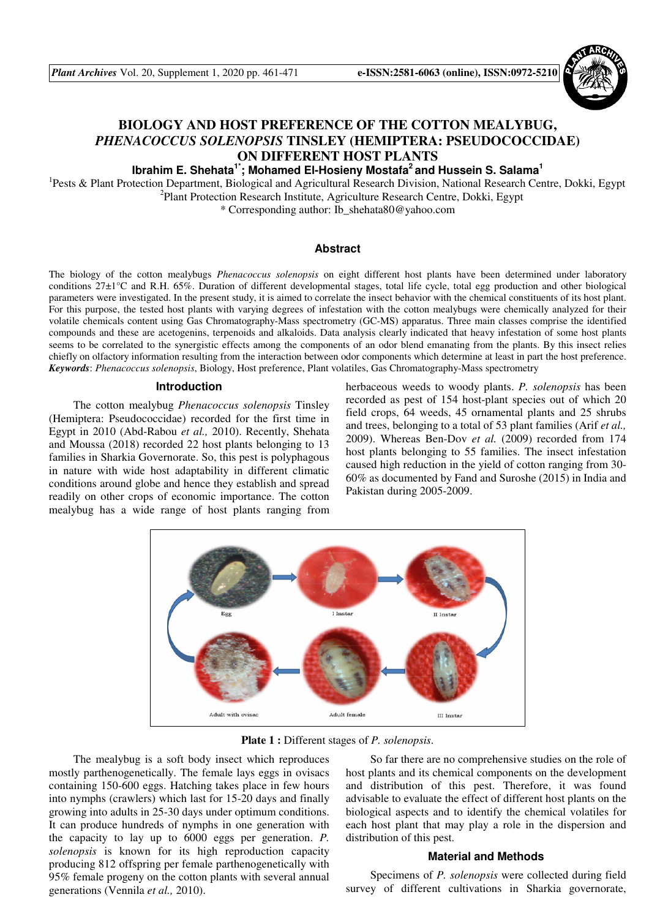*Plant Archives* Vol. 20, Supplement 1, 2020 pp. 461-471 **e-ISSN:2581-6063 (online), ISSN:0972-5210**



# **BIOLOGY AND HOST PREFERENCE OF THE COTTON MEALYBUG,**  *PHENACOCCUS SOLENOPSIS* **TINSLEY (HEMIPTERA: PSEUDOCOCCIDAE) ON DIFFERENT HOST PLANTS**

**Ibrahim E. Shehata1\*; Mohamed El-Hosieny Mostafa<sup>2</sup>and Hussein S. Salama<sup>1</sup>**

<sup>1</sup>Pests & Plant Protection Department, Biological and Agricultural Research Division, National Research Centre, Dokki, Egypt <sup>2</sup>Plant Protection Research Institute, Agriculture Research Centre, Dokki, Egypt

\* Corresponding author: Ib\_shehata80@yahoo.com

# **Abstract**

The biology of the cotton mealybugs *Phenacoccus solenopsis* on eight different host plants have been determined under laboratory conditions 27±1°C and R.H. 65%. Duration of different developmental stages, total life cycle, total egg production and other biological parameters were investigated. In the present study, it is aimed to correlate the insect behavior with the chemical constituents of its host plant. For this purpose, the tested host plants with varying degrees of infestation with the cotton mealybugs were chemically analyzed for their volatile chemicals content using Gas Chromatography-Mass spectrometry (GC-MS) apparatus. Three main classes comprise the identified compounds and these are acetogenins, terpenoids and alkaloids. Data analysis clearly indicated that heavy infestation of some host plants seems to be correlated to the synergistic effects among the components of an odor blend emanating from the plants. By this insect relies chiefly on olfactory information resulting from the interaction between odor components which determine at least in part the host preference. *Keywords*: *Phenacoccus solenopsis*, Biology, Host preference, Plant volatiles, Gas Chromatography-Mass spectrometry

## **Introduction**

The cotton mealybug *Phenacoccus solenopsis* Tinsley (Hemiptera: Pseudococcidae) recorded for the first time in Egypt in 2010 (Abd-Rabou *et al.,* 2010). Recently, Shehata and Moussa (2018) recorded 22 host plants belonging to 13 families in Sharkia Governorate. So, this pest is polyphagous in nature with wide host adaptability in different climatic conditions around globe and hence they establish and spread readily on other crops of economic importance. The cotton mealybug has a wide range of host plants ranging from

herbaceous weeds to woody plants. *P. solenopsis* has been recorded as pest of 154 host-plant species out of which 20 field crops, 64 weeds, 45 ornamental plants and 25 shrubs and trees, belonging to a total of 53 plant families (Arif *et al.,* 2009). Whereas Ben-Dov *et al.* (2009) recorded from 174 host plants belonging to 55 families. The insect infestation caused high reduction in the yield of cotton ranging from 30- 60% as documented by Fand and Suroshe (2015) in India and Pakistan during 2005-2009.



**Plate 1 :** Different stages of *P. solenopsis*.

The mealybug is a soft body insect which reproduces mostly parthenogenetically. The female lays eggs in ovisacs containing 150-600 eggs. Hatching takes place in few hours into nymphs (crawlers) which last for 15-20 days and finally growing into adults in 25-30 days under optimum conditions. It can produce hundreds of nymphs in one generation with the capacity to lay up to 6000 eggs per generation. *P. solenopsis* is known for its high reproduction capacity producing 812 offspring per female parthenogenetically with 95% female progeny on the cotton plants with several annual generations (Vennila *et al.,* 2010).

So far there are no comprehensive studies on the role of host plants and its chemical components on the development and distribution of this pest. Therefore, it was found advisable to evaluate the effect of different host plants on the biological aspects and to identify the chemical volatiles for each host plant that may play a role in the dispersion and distribution of this pest.

## **Material and Methods**

Specimens of *P. solenopsis* were collected during field survey of different cultivations in Sharkia governorate,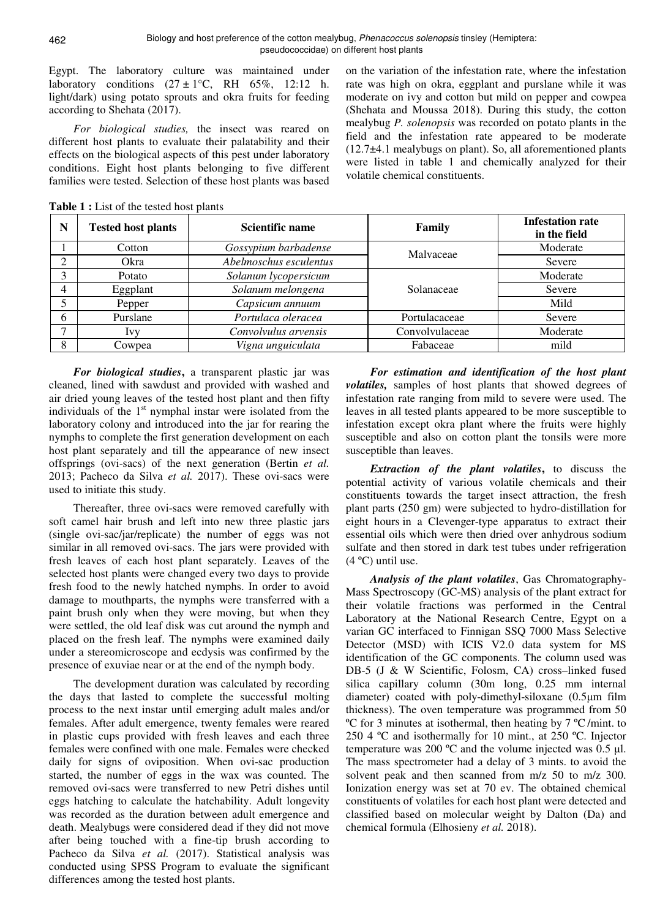Egypt. The laboratory culture was maintained under laboratory conditions  $(27 \pm 1^{\circ}\text{C}, \text{RH} \quad 65\%, 12:12 \text{ h}.$ light/dark) using potato sprouts and okra fruits for feeding according to Shehata (2017).

*For biological studies,* the insect was reared on different host plants to evaluate their palatability and their effects on the biological aspects of this pest under laboratory conditions. Eight host plants belonging to five different families were tested. Selection of these host plants was based on the variation of the infestation rate, where the infestation rate was high on okra, eggplant and purslane while it was moderate on ivy and cotton but mild on pepper and cowpea (Shehata and Moussa 2018). During this study, the cotton mealybug *P. solenopsis* was recorded on potato plants in the field and the infestation rate appeared to be moderate (12.7±4.1 mealybugs on plant). So, all aforementioned plants were listed in table 1 and chemically analyzed for their volatile chemical constituents.

| N        | <b>Tested host plants</b> | <b>Scientific name</b> | Family         | <b>Infestation rate</b><br>in the field |
|----------|---------------------------|------------------------|----------------|-----------------------------------------|
|          | Cotton                    | Gossypium barbadense   | Malvaceae      | Moderate                                |
| $\gamma$ | Okra                      | Abelmoschus esculentus |                | Severe                                  |
| 3        | Potato                    | Solanum lycopersicum   |                | Moderate                                |
| 4        | Eggplant                  | Solanum melongena      | Solanaceae     | Severe                                  |
| 5        | Pepper                    | Capsicum annuum        |                | Mild                                    |
| 6        | Purslane                  | Portulaca oleracea     | Portulacaceae  | Severe                                  |
|          | Ivy                       | Convolvulus arvensis   | Convolvulaceae | Moderate                                |
| 8        | Cowpea                    | Vigna unguiculata      | Fabaceae       | mild                                    |

**Table 1 :** List of the tested host plants

*For biological studies***,** a transparent plastic jar was cleaned, lined with sawdust and provided with washed and air dried young leaves of the tested host plant and then fifty individuals of the  $1<sup>st</sup>$  nymphal instar were isolated from the laboratory colony and introduced into the jar for rearing the nymphs to complete the first generation development on each host plant separately and till the appearance of new insect offsprings (ovi-sacs) of the next generation (Bertin *et al.* 2013; Pacheco da Silva *et al.* 2017). These ovi-sacs were used to initiate this study.

Thereafter, three ovi-sacs were removed carefully with soft camel hair brush and left into new three plastic jars (single ovi-sac/jar/replicate) the number of eggs was not similar in all removed ovi-sacs. The jars were provided with fresh leaves of each host plant separately. Leaves of the selected host plants were changed every two days to provide fresh food to the newly hatched nymphs. In order to avoid damage to mouthparts, the nymphs were transferred with a paint brush only when they were moving, but when they were settled, the old leaf disk was cut around the nymph and placed on the fresh leaf. The nymphs were examined daily under a stereomicroscope and ecdysis was confirmed by the presence of exuviae near or at the end of the nymph body.

The development duration was calculated by recording the days that lasted to complete the successful molting process to the next instar until emerging adult males and/or females. After adult emergence, twenty females were reared in plastic cups provided with fresh leaves and each three females were confined with one male. Females were checked daily for signs of oviposition. When ovi-sac production started, the number of eggs in the wax was counted. The removed ovi-sacs were transferred to new Petri dishes until eggs hatching to calculate the hatchability. Adult longevity was recorded as the duration between adult emergence and death. Mealybugs were considered dead if they did not move after being touched with a fine-tip brush according to Pacheco da Silva *et al.* (2017). Statistical analysis was conducted using SPSS Program to evaluate the significant differences among the tested host plants.

*For estimation and identification of the host plant volatiles,* samples of host plants that showed degrees of infestation rate ranging from mild to severe were used. The leaves in all tested plants appeared to be more susceptible to infestation except okra plant where the fruits were highly susceptible and also on cotton plant the tonsils were more susceptible than leaves.

*Extraction of the plant volatiles***,** to discuss the potential activity of various volatile chemicals and their constituents towards the target insect attraction, the fresh plant parts (250 gm) were subjected to hydro-distillation for eight hours in a Clevenger-type apparatus to extract their essential oils which were then dried over anhydrous sodium sulfate and then stored in dark test tubes under refrigeration  $(4 °C)$  until use.

*Analysis of the plant volatiles*, Gas Chromatography-Mass Spectroscopy (GC-MS) analysis of the plant extract for their volatile fractions was performed in the Central Laboratory at the National Research Centre, Egypt on a varian GC interfaced to Finnigan SSQ 7000 Mass Selective Detector (MSD) with ICIS V2.0 data system for MS identification of the GC components. The column used was DB-5 (J & W Scientific, Folosm, CA) cross–linked fused silica capillary column (30m long, 0.25 mm internal diameter) coated with poly-dimethyl-siloxane (0.5µm film thickness). The oven temperature was programmed from 50 ºC for 3 minutes at isothermal, then heating by 7 ºC /mint. to 250 4 ºC and isothermally for 10 mint., at 250 ºC. Injector temperature was 200  $^{\circ}$ C and the volume injected was 0.5 µl. The mass spectrometer had a delay of 3 mints. to avoid the solvent peak and then scanned from m/z 50 to m/z 300. Ionization energy was set at 70 ev. The obtained chemical constituents of volatiles for each host plant were detected and classified based on molecular weight by Dalton (Da) and chemical formula (Elhosieny *et al.* 2018).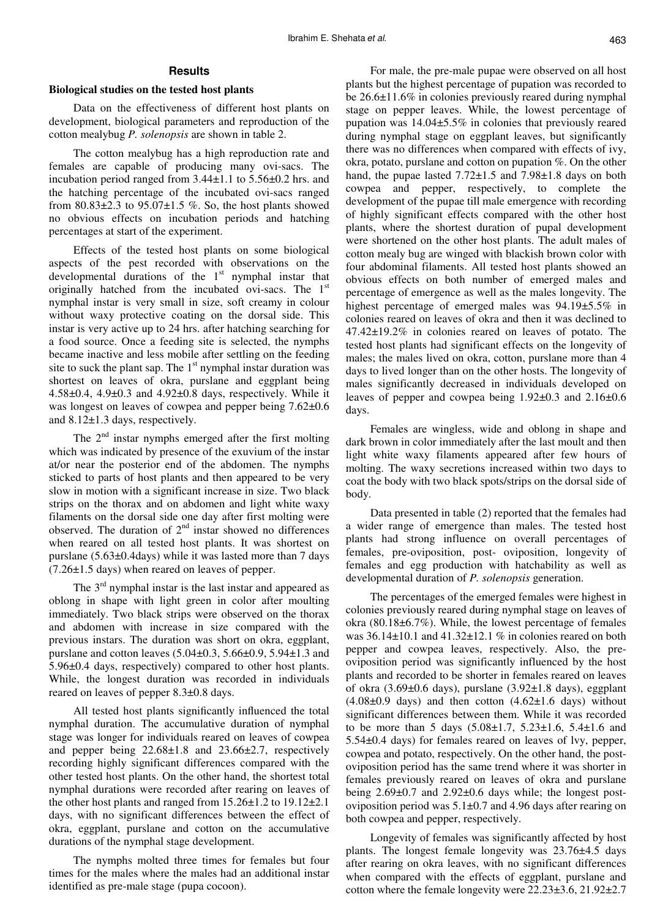## **Results**

#### **Biological studies on the tested host plants**

Data on the effectiveness of different host plants on development, biological parameters and reproduction of the cotton mealybug *P. solenopsis* are shown in table 2.

The cotton mealybug has a high reproduction rate and females are capable of producing many ovi-sacs. The incubation period ranged from 3.44±1.1 to 5.56±0.2 hrs. and the hatching percentage of the incubated ovi-sacs ranged from  $80.83\pm2.3$  to  $95.07\pm1.5$  %. So, the host plants showed no obvious effects on incubation periods and hatching percentages at start of the experiment.

Effects of the tested host plants on some biological aspects of the pest recorded with observations on the developmental durations of the 1<sup>st</sup> nymphal instar that originally hatched from the incubated ovi-sacs. The 1<sup>st</sup> nymphal instar is very small in size, soft creamy in colour without waxy protective coating on the dorsal side. This instar is very active up to 24 hrs. after hatching searching for a food source. Once a feeding site is selected, the nymphs became inactive and less mobile after settling on the feeding site to suck the plant sap. The  $1<sup>st</sup>$  nymphal instar duration was shortest on leaves of okra, purslane and eggplant being 4.58±0.4, 4.9±0.3 and 4.92±0.8 days, respectively. While it was longest on leaves of cowpea and pepper being  $7.62\pm0.6$ and 8.12±1.3 days, respectively.

The  $2<sup>nd</sup>$  instar nymphs emerged after the first molting which was indicated by presence of the exuvium of the instar at/or near the posterior end of the abdomen. The nymphs sticked to parts of host plants and then appeared to be very slow in motion with a significant increase in size. Two black strips on the thorax and on abdomen and light white waxy filaments on the dorsal side one day after first molting were observed. The duration of  $2<sup>nd</sup>$  instar showed no differences when reared on all tested host plants. It was shortest on purslane (5.63±0.4days) while it was lasted more than 7 days (7.26±1.5 days) when reared on leaves of pepper.

The  $3<sup>rd</sup>$  nymphal instar is the last instar and appeared as oblong in shape with light green in color after moulting immediately. Two black strips were observed on the thorax and abdomen with increase in size compared with the previous instars. The duration was short on okra, eggplant, purslane and cotton leaves (5.04±0.3, 5.66±0.9, 5.94±1.3 and 5.96±0.4 days, respectively) compared to other host plants. While, the longest duration was recorded in individuals reared on leaves of pepper 8.3±0.8 days.

All tested host plants significantly influenced the total nymphal duration. The accumulative duration of nymphal stage was longer for individuals reared on leaves of cowpea and pepper being 22.68±1.8 and 23.66±2.7, respectively recording highly significant differences compared with the other tested host plants. On the other hand, the shortest total nymphal durations were recorded after rearing on leaves of the other host plants and ranged from 15.26±1.2 to 19.12±2.1 days, with no significant differences between the effect of okra, eggplant, purslane and cotton on the accumulative durations of the nymphal stage development.

The nymphs molted three times for females but four times for the males where the males had an additional instar identified as pre-male stage (pupa cocoon).

For male, the pre-male pupae were observed on all host plants but the highest percentage of pupation was recorded to be 26.6±11.6% in colonies previously reared during nymphal stage on pepper leaves. While, the lowest percentage of pupation was 14.04±5.5% in colonies that previously reared during nymphal stage on eggplant leaves, but significantly there was no differences when compared with effects of ivy, okra, potato, purslane and cotton on pupation %. On the other hand, the pupae lasted 7.72±1.5 and 7.98±1.8 days on both cowpea and pepper, respectively, to complete the development of the pupae till male emergence with recording of highly significant effects compared with the other host plants, where the shortest duration of pupal development were shortened on the other host plants. The adult males of cotton mealy bug are winged with blackish brown color with four abdominal filaments. All tested host plants showed an obvious effects on both number of emerged males and percentage of emergence as well as the males longevity. The highest percentage of emerged males was 94.19±5.5% in colonies reared on leaves of okra and then it was declined to 47.42±19.2% in colonies reared on leaves of potato. The tested host plants had significant effects on the longevity of males; the males lived on okra, cotton, purslane more than 4 days to lived longer than on the other hosts. The longevity of males significantly decreased in individuals developed on leaves of pepper and cowpea being  $1.92\pm0.3$  and  $2.16\pm0.6$ days.

Females are wingless, wide and oblong in shape and dark brown in color immediately after the last moult and then light white waxy filaments appeared after few hours of molting. The waxy secretions increased within two days to coat the body with two black spots/strips on the dorsal side of body.

Data presented in table (2) reported that the females had a wider range of emergence than males. The tested host plants had strong influence on overall percentages of females, pre-oviposition, post- oviposition, longevity of females and egg production with hatchability as well as developmental duration of *P. solenopsis* generation.

The percentages of the emerged females were highest in colonies previously reared during nymphal stage on leaves of okra (80.18±6.7%). While, the lowest percentage of females was  $36.14\pm10.1$  and  $41.32\pm12.1$  % in colonies reared on both pepper and cowpea leaves, respectively. Also, the preoviposition period was significantly influenced by the host plants and recorded to be shorter in females reared on leaves of okra  $(3.69\pm0.6$  days), purslane  $(3.92\pm1.8$  days), eggplant  $(4.08\pm0.9$  days) and then cotton  $(4.62\pm1.6$  days) without significant differences between them. While it was recorded to be more than 5 days (5.08±1.7, 5.23±1.6, 5.4±1.6 and 5.54±0.4 days) for females reared on leaves of lvy, pepper, cowpea and potato, respectively. On the other hand, the postoviposition period has the same trend where it was shorter in females previously reared on leaves of okra and purslane being 2.69±0.7 and 2.92±0.6 days while; the longest postoviposition period was 5.1±0.7 and 4.96 days after rearing on both cowpea and pepper, respectively.

Longevity of females was significantly affected by host plants. The longest female longevity was 23.76±4.5 days after rearing on okra leaves, with no significant differences when compared with the effects of eggplant, purslane and cotton where the female longevity were 22.23±3.6, 21.92±2.7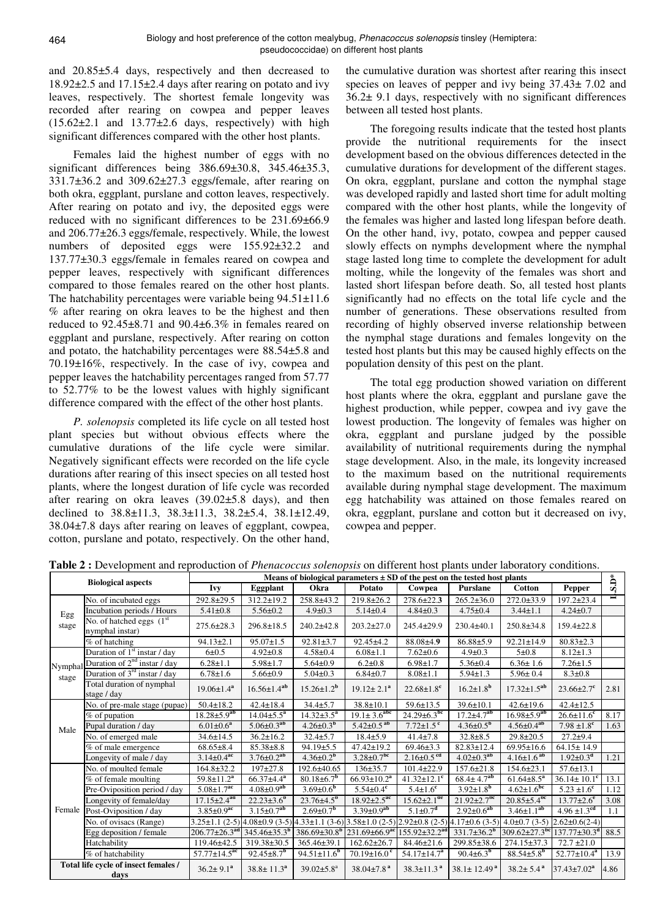and 20.85±5.4 days, respectively and then decreased to 18.92±2.5 and 17.15±2.4 days after rearing on potato and ivy leaves, respectively. The shortest female longevity was recorded after rearing on cowpea and pepper leaves  $(15.62\pm2.1$  and  $13.77\pm2.6$  days, respectively) with high significant differences compared with the other host plants.

Females laid the highest number of eggs with no significant differences being 386.69±30.8, 345.46±35.3,  $331.7\pm36.2$  and  $309.62\pm27.3$  eggs/female, after rearing on both okra, eggplant, purslane and cotton leaves, respectively. After rearing on potato and ivy, the deposited eggs were reduced with no significant differences to be 231.69±66.9 and 206.77±26.3 eggs/female, respectively. While, the lowest numbers of deposited eggs were 155.92±32.2 and 137.77±30.3 eggs/female in females reared on cowpea and pepper leaves, respectively with significant differences compared to those females reared on the other host plants. The hatchability percentages were variable being  $94.51 \pm 11.6$ % after rearing on okra leaves to be the highest and then reduced to 92.45±8.71 and 90.4±6.3% in females reared on eggplant and purslane, respectively. After rearing on cotton and potato, the hatchability percentages were 88.54±5.8 and 70.19±16%, respectively. In the case of ivy, cowpea and pepper leaves the hatchability percentages ranged from 57.77 to 52.77% to be the lowest values with highly significant difference compared with the effect of the other host plants.

*P. solenopsis* completed its life cycle on all tested host plant species but without obvious effects where the cumulative durations of the life cycle were similar. Negatively significant effects were recorded on the life cycle durations after rearing of this insect species on all tested host plants, where the longest duration of life cycle was recorded after rearing on okra leaves (39.02±5.8 days), and then declined to 38.8±11.3, 38.3±11.3, 38.2±5.4, 38.1±12.49, 38.04±7.8 days after rearing on leaves of eggplant, cowpea, cotton, purslane and potato, respectively. On the other hand,

the cumulative duration was shortest after rearing this insect species on leaves of pepper and ivy being  $37.43 \pm 7.02$  and 36.2± 9.1 days, respectively with no significant differences between all tested host plants.

The foregoing results indicate that the tested host plants provide the nutritional requirements for the insect development based on the obvious differences detected in the cumulative durations for development of the different stages. On okra, eggplant, purslane and cotton the nymphal stage was developed rapidly and lasted short time for adult molting compared with the other host plants, while the longevity of the females was higher and lasted long lifespan before death. On the other hand, ivy, potato, cowpea and pepper caused slowly effects on nymphs development where the nymphal stage lasted long time to complete the development for adult molting, while the longevity of the females was short and lasted short lifespan before death. So, all tested host plants significantly had no effects on the total life cycle and the number of generations. These observations resulted from recording of highly observed inverse relationship between the nymphal stage durations and females longevity on the tested host plants but this may be caused highly effects on the population density of this pest on the plant.

The total egg production showed variation on different host plants where the okra, eggplant and purslane gave the highest production, while pepper, cowpea and ivy gave the lowest production. The longevity of females was higher on okra, eggplant and purslane judged by the possible availability of nutritional requirements during the nymphal stage development. Also, in the male, its longevity increased to the maximum based on the nutritional requirements available during nymphal stage development. The maximum egg hatchability was attained on those females reared on okra, eggplant, purslane and cotton but it decreased on ivy, cowpea and pepper.

|                                              | <b>Biological aspects</b>                      |                                 | Means of biological parameters $\pm$ SD of the pest on the tested host plants |                               |                                                                                                                       |                                                     |                               |                                 |                              |                         |  |  |  |  |
|----------------------------------------------|------------------------------------------------|---------------------------------|-------------------------------------------------------------------------------|-------------------------------|-----------------------------------------------------------------------------------------------------------------------|-----------------------------------------------------|-------------------------------|---------------------------------|------------------------------|-------------------------|--|--|--|--|
|                                              |                                                | Ivy                             | Eggplant                                                                      | Okra                          | Potato                                                                                                                | Cowpea                                              | Purslane                      | <b>Cotton</b>                   | <b>Pepper</b>                | $\ddot{\mathbf{S}}$ .D* |  |  |  |  |
| Egg<br>stage                                 | No. of incubated eggs                          | 292.8±29.5                      | 312.2±19.2                                                                    | 258.8±43.2                    | $219.8 \pm 26.2$                                                                                                      | $278.6 \pm 22.3$                                    | $265.2 \pm 36.0$              | $272.0 \pm 33.9$                | 197.2±23.4                   |                         |  |  |  |  |
|                                              | Incubation periods / Hours                     | $5.41 \pm 0.8$                  | $5.56 \pm 0.2$                                                                | $4.9 \pm 0.3$                 | $5.14 \pm 0.4$                                                                                                        | $4.84 \pm 0.3$                                      | $4.75 \pm 0.4$                | $3.44 \pm 1.1$                  | $4.24 \pm 0.7$               |                         |  |  |  |  |
|                                              | No. of hatched eggs $(1st)$<br>nymphal instar) | $275.6 \pm 28.3$                | 296.8±18.5                                                                    | 240.2±42.8                    | $203.2 \pm 27.0$                                                                                                      | 245.4±29.9                                          | 230.4±40.1                    | $250.8 \pm 34.8$                | $159.4 \pm 22.8$             |                         |  |  |  |  |
|                                              | $%$ of hatching                                | $94.13 \pm 2.1$                 | $95.07 \pm 1.5$                                                               | $92.81 \pm 3.7$               | 92.45±4.2                                                                                                             | 88.08±4.9                                           | $86.88 \pm 5.9$               | $92.21 \pm 14.9$                | $80.83 \pm 2.3$              |                         |  |  |  |  |
|                                              | Duration of 1 <sup>st</sup> instar / day       | $6 + 0.5$                       | $4.92 \pm 0.8$                                                                | $4.58 \pm 0.4$                | $6.08 \pm 1.1$                                                                                                        | $7.62 \pm 0.6$                                      | $4.9 \pm 0.3$                 | $5 + 0.8$                       | $8.12 \pm 1.3$               |                         |  |  |  |  |
| Nymphal                                      | Duration of $2nd$ instar / day                 | $6.28 \pm 1.1$                  | $5.98 \pm 1.7$                                                                | $5.64 \pm 0.9$                | $6.2 \pm 0.8$                                                                                                         | $6.98 \pm 1.7$                                      | $5.36 \pm 0.4$                | $6.36 \pm 1.6$                  | $7.26 \pm 1.5$               |                         |  |  |  |  |
| stage                                        | Duration of 3 <sup>rd</sup> instar / day       | $6.78 \pm 1.6$                  | $5.66 \pm 0.9$                                                                | $5.04 \pm 0.3$                | $6.84 \pm 0.7$                                                                                                        | $8.08 \pm 1.1$                                      | $5.94 \pm 1.3$                | $5.96 \pm 0.4$                  | $8.3 \pm 0.8$                |                         |  |  |  |  |
|                                              | Total duration of nymphal<br>stage / day       | $19.06 \pm 1.4^a$               | $16.56 \pm 1.4^{ab}$                                                          | $15.26 \pm 1.2^{\rm b}$       | $19.12 \pm 2.1^a$                                                                                                     | $22.68 \pm 1.8$ <sup>c</sup>                        | $16.2 \pm 1.8^{b}$            | $17.32 \pm 1.5^{ab}$            | $23.66 \pm 2.7$ <sup>c</sup> | 2.81                    |  |  |  |  |
|                                              | No. of pre-male stage (pupae)                  | $50.4 \pm 18.2$                 | $42.4 \pm 18.4$                                                               | $34.4 \pm 5.7$                | $38.8 \pm 10.1$                                                                                                       | $59.6 \pm 13.5$                                     | $39.6 \pm 10.1$               | $42.6 \pm 19.6$                 | $42.4 \pm 12.5$              |                         |  |  |  |  |
|                                              | % of pupation                                  | $18.28 \pm 5.9^{ab}$            | $14.04 \pm 5.5^a$                                                             | $14.32 \pm 3.5^a$             | $19.1 \pm 3.6^{abc}$                                                                                                  | $24.29 \pm 6.3^{bc}$                                | $17.2 \pm 4.7^{ab}$           | $16.98 \pm 5.9^{ab}$            | $26.6 \pm 11.6$ <sup>c</sup> | 8.17                    |  |  |  |  |
| Male                                         | Pupal duration / day                           | $6.01 \pm 0.6^a$                | $5.06 \pm 0.3^{a}b$                                                           | $4.26 \pm 0.3^{b}$            | $5.42 \pm 0.5$ <sup>ab</sup>                                                                                          | $7.72 \pm 1.5$ <sup>c</sup>                         | $4.36 \pm 0.5^{\rm b}$        | $4.56 \pm 0.4^{ab}$             | $7.98 \pm 1.8$ <sup>c</sup>  | 1.63                    |  |  |  |  |
|                                              | No. of emerged male                            | $34.6 \pm 14.5$                 | $36.2 \pm 16.2$                                                               | $32.4 \pm 5.7$                | $18.4 \pm 5.9$                                                                                                        | $41.4 \pm 7.8$                                      | $32.8 \pm 8.5$                | $29.8 \pm 20.5$                 | $27.2 + 9.4$                 |                         |  |  |  |  |
|                                              | $\sqrt{\%}$ of male emergence                  | $68.65 \pm 8.4$                 | $85.38 \pm 8.8$                                                               | $94.19 \pm 5.5$               | $47.42 \pm 19.2$                                                                                                      | $69.46 \pm 3.3$                                     | 82.83±12.4                    | 69.95±16.6                      | $64.15 \pm 14.9$             |                         |  |  |  |  |
|                                              | Longevity of male / day                        | $3.14 \pm 0.4$ <sup>ac</sup>    | $3.76 \pm 0.2^{ab}$                                                           | $4.36 \pm 0.2^b$              | $3.28 \pm 0.7$ <sup>bc</sup>                                                                                          | $2.16 \pm 0.5$ <sup>cd</sup>                        | $4.02 \pm 0.3$ <sup>ab</sup>  | $4.16 \pm 1.6$ <sup>ab</sup>    | $1.92 \pm 0.3^d$             | 1.21                    |  |  |  |  |
|                                              | No. of moulted female                          | 164.8±32.2                      | $197+27.8$                                                                    | 192.6±40.65                   | $136 \pm 35.7$                                                                                                        | $101.4 \pm 22.9$                                    | $157.6 \pm 21.8$              | $154.6 \pm 23.1$                | $57.6 \pm 13.1$              |                         |  |  |  |  |
|                                              | % of female moulting                           | $59.8 \pm 11.2^a$               | $66.37{\pm}4.4^a$                                                             | $80.18\pm6.7^{b}$             | $66.93 \pm 10.2^a$                                                                                                    | $41.32 \pm 12.1$ <sup>c</sup>                       | $68.4 \pm 4.7^{ab}$           | $61.64 \pm 8.5^a$               | $36.14 \pm 10.1^c$           | 13.1                    |  |  |  |  |
|                                              | Pre-Oviposition period / day                   | $5.08 \pm 1.7$ <sup>ac</sup>    | $4.08 \pm 0.9^{ab}$                                                           | $3.69 \pm 0.6^{\rm b}$        | $5.54 \pm 0.4$ <sup>c</sup>                                                                                           | $5.4 \pm 1.6^c$                                     | $3.92 \pm 1.8^{b}$            | $4.62 \pm 1.6$ <sup>bc</sup>    | $5.23 \pm 1.6^{\circ}$       | 1.12                    |  |  |  |  |
|                                              | Longevity of female/day                        | $17.15 \pm 2.4$ <sup>ad</sup>   | $22.23\pm3.6^b$                                                               | $23.76\pm4.5^{b}$             | $18.92 \pm 2.5$ <sup>ac</sup>                                                                                         | $15.62 \pm 2.1$ <sup>de</sup>                       | $21.92 \pm 2.7$ <sup>bc</sup> | $20.85 \pm 5.4$ <sup>bc</sup>   | $13.77 \pm 2.6^e$            | 3.08                    |  |  |  |  |
| Female                                       | Post-Oviposition / day                         | $3.85 \pm 0.9$ <sup>ac</sup>    | $3.15 \pm 0.7^{ab}$                                                           | $2.69 \pm 0.7$ <sup>b</sup>   | $3.39 \pm 0.9^{ab}$                                                                                                   | $5.1 \pm 0.7^d$                                     | $2.92 \pm 0.6^{ab}$           | $3.46 \pm 1.1^{ab}$             | $4.96 \pm 1.3$ <sup>cd</sup> | 1.1                     |  |  |  |  |
|                                              | No. of ovisacs (Range)                         |                                 |                                                                               |                               | 3.25±1.1 (2-5) 4.08±0.9 (3-5) 4.33±1.1 (3-6) 3.58±1.0 (2-5) 2.92±0.8 (2-5) 4.17±0.6 (3-5) 4.0±0.7 (3-5) 2.62±0.6(2-4) |                                                     |                               |                                 |                              |                         |  |  |  |  |
|                                              | Egg deposition / female                        | $206.77 \pm 26.3$ <sup>ad</sup> | $345.46\pm35.3^{b}$                                                           | $386.69 \pm 30.8^b$           |                                                                                                                       | 231.69±66.9 <sup>ac</sup> 155.92±32.2 <sup>ad</sup> | $331.7 \pm 36.2^{\mathrm{b}}$ | $309.62 \pm 27.3$ <sup>bc</sup> | $137.77 \pm 30.3^{\text{d}}$ | 88.5                    |  |  |  |  |
|                                              | Hatchability                                   | 119.46±42.5                     | 319.38±30.5                                                                   | 365.46±39.1                   | $162.62 \pm 26.7$                                                                                                     | 84.46±21.6                                          | 299.85±38.6                   | 274.15±37.3                     | $72.7 \pm 21.0$              |                         |  |  |  |  |
|                                              | % of hatchability                              | $57.77 \pm 14.5^{ac}$           | $92.45 \pm 8.7^{\rm b}$                                                       | $94.51 \pm 11.6$ <sup>b</sup> | $70.19 \pm 16.0$ <sup>c</sup>                                                                                         | $54.17 \pm 14.7^a$                                  | 90.4 $\pm$ 6.3 <sup>b</sup>   | $88.54{\pm}5.8^{b}$             | $52.77 \pm 10.4^a$           | 13.9                    |  |  |  |  |
| Total life cycle of insect females /<br>days |                                                | $36.2 \pm 9.1^a$                | $38.8 \pm 11.3^a$                                                             | $39.02 \pm 5.8^{\circ}$       | 38.04 $\pm$ 7.8 <sup>a</sup>                                                                                          | $38.3 \pm 11.3$ <sup>a</sup>                        | $38.1 \pm 12.49^{\text{a}}$   | $38.2 \pm 5.4$ <sup>a</sup>     | $37.43 \pm 7.02^a$           | 4.86                    |  |  |  |  |

**Table 2 :** Development and reproduction of *Phenacoccus solenopsis* on different host plants under laboratory conditions.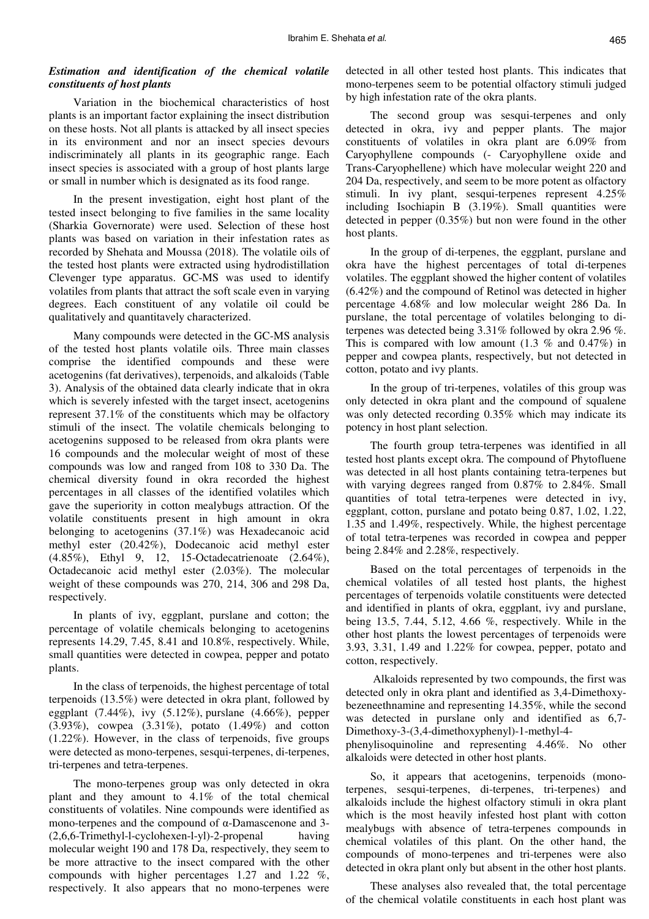# *Estimation and identification of the chemical volatile constituents of host plants*

Variation in the biochemical characteristics of host plants is an important factor explaining the insect distribution on these hosts. Not all plants is attacked by all insect species in its environment and nor an insect species devours indiscriminately all plants in its geographic range. Each insect species is associated with a group of host plants large or small in number which is designated as its food range.

In the present investigation, eight host plant of the tested insect belonging to five families in the same locality (Sharkia Governorate) were used. Selection of these host plants was based on variation in their infestation rates as recorded by Shehata and Moussa (2018). The volatile oils of the tested host plants were extracted using hydrodistillation Clevenger type apparatus. GC-MS was used to identify volatiles from plants that attract the soft scale even in varying degrees. Each constituent of any volatile oil could be qualitatively and quantitavely characterized.

Many compounds were detected in the GC-MS analysis of the tested host plants volatile oils. Three main classes comprise the identified compounds and these were acetogenins (fat derivatives), terpenoids, and alkaloids (Table 3). Analysis of the obtained data clearly indicate that in okra which is severely infested with the target insect, acetogenins represent 37.1% of the constituents which may be olfactory stimuli of the insect. The volatile chemicals belonging to acetogenins supposed to be released from okra plants were 16 compounds and the molecular weight of most of these compounds was low and ranged from 108 to 330 Da. The chemical diversity found in okra recorded the highest percentages in all classes of the identified volatiles which gave the superiority in cotton mealybugs attraction. Of the volatile constituents present in high amount in okra belonging to acetogenins (37.1%) was Hexadecanoic acid methyl ester (20.42%), Dodecanoic acid methyl ester (4.85%), Ethyl 9, 12, 15-Octadecatrienoate (2.64%), Octadecanoic acid methyl ester (2.03%). The molecular weight of these compounds was 270, 214, 306 and 298 Da, respectively.

In plants of ivy, eggplant, purslane and cotton; the percentage of volatile chemicals belonging to acetogenins represents 14.29, 7.45, 8.41 and 10.8%, respectively. While, small quantities were detected in cowpea, pepper and potato plants.

In the class of terpenoids, the highest percentage of total terpenoids (13.5%) were detected in okra plant, followed by eggplant  $(7.44\%)$ , ivy  $(5.12\%)$ , purslane  $(4.66\%)$ , pepper (3.93%), cowpea (3.31%), potato (1.49%) and cotton (1.22%). However, in the class of terpenoids, five groups were detected as mono-terpenes, sesqui-terpenes, di-terpenes, tri-terpenes and tetra-terpenes.

The mono-terpenes group was only detected in okra plant and they amount to 4.1% of the total chemical constituents of volatiles. Nine compounds were identified as mono-terpenes and the compound of α-Damascenone and 3- (2,6,6-Trimethyl-l-cyclohexen-l-yl)-2-propenal having molecular weight 190 and 178 Da, respectively, they seem to be more attractive to the insect compared with the other compounds with higher percentages 1.27 and 1.22 %, respectively. It also appears that no mono-terpenes were

detected in all other tested host plants. This indicates that mono-terpenes seem to be potential olfactory stimuli judged by high infestation rate of the okra plants.

The second group was sesqui-terpenes and only detected in okra, ivy and pepper plants. The major constituents of volatiles in okra plant are 6.09% from Caryophyllene compounds (- Caryophyllene oxide and Trans-Caryophellene) which have molecular weight 220 and 204 Da, respectively, and seem to be more potent as olfactory stimuli. In ivy plant, sesqui-terpenes represent 4.25% including Isochiapin B (3.19%). Small quantities were detected in pepper (0.35%) but non were found in the other host plants.

In the group of di-terpenes, the eggplant, purslane and okra have the highest percentages of total di-terpenes volatiles. The eggplant showed the higher content of volatiles (6.42%) and the compound of Retinol was detected in higher percentage 4.68% and low molecular weight 286 Da. In purslane, the total percentage of volatiles belonging to diterpenes was detected being 3.31% followed by okra 2.96 %. This is compared with low amount  $(1.3 %$  and  $0.47%)$  in pepper and cowpea plants, respectively, but not detected in cotton, potato and ivy plants.

In the group of tri-terpenes, volatiles of this group was only detected in okra plant and the compound of squalene was only detected recording 0.35% which may indicate its potency in host plant selection.

The fourth group tetra-terpenes was identified in all tested host plants except okra. The compound of Phytofluene was detected in all host plants containing tetra-terpenes but with varying degrees ranged from 0.87% to 2.84%. Small quantities of total tetra-terpenes were detected in ivy, eggplant, cotton, purslane and potato being 0.87, 1.02, 1.22, 1.35 and 1.49%, respectively. While, the highest percentage of total tetra-terpenes was recorded in cowpea and pepper being 2.84% and 2.28%, respectively.

Based on the total percentages of terpenoids in the chemical volatiles of all tested host plants, the highest percentages of terpenoids volatile constituents were detected and identified in plants of okra, eggplant, ivy and purslane, being 13.5, 7.44, 5.12, 4.66 %, respectively. While in the other host plants the lowest percentages of terpenoids were 3.93, 3.31, 1.49 and 1.22% for cowpea, pepper, potato and cotton, respectively.

 Alkaloids represented by two compounds, the first was detected only in okra plant and identified as 3,4-Dimethoxybezeneethnamine and representing 14.35%, while the second was detected in purslane only and identified as 6,7- Dimethoxy-3-(3,4-dimethoxyphenyl)-1-methyl-4-

phenylisoquinoline and representing 4.46%. No other alkaloids were detected in other host plants.

So, it appears that acetogenins, terpenoids (monoterpenes, sesqui-terpenes, di-terpenes, tri-terpenes) and alkaloids include the highest olfactory stimuli in okra plant which is the most heavily infested host plant with cotton mealybugs with absence of tetra-terpenes compounds in chemical volatiles of this plant. On the other hand, the compounds of mono-terpenes and tri-terpenes were also detected in okra plant only but absent in the other host plants.

These analyses also revealed that, the total percentage of the chemical volatile constituents in each host plant was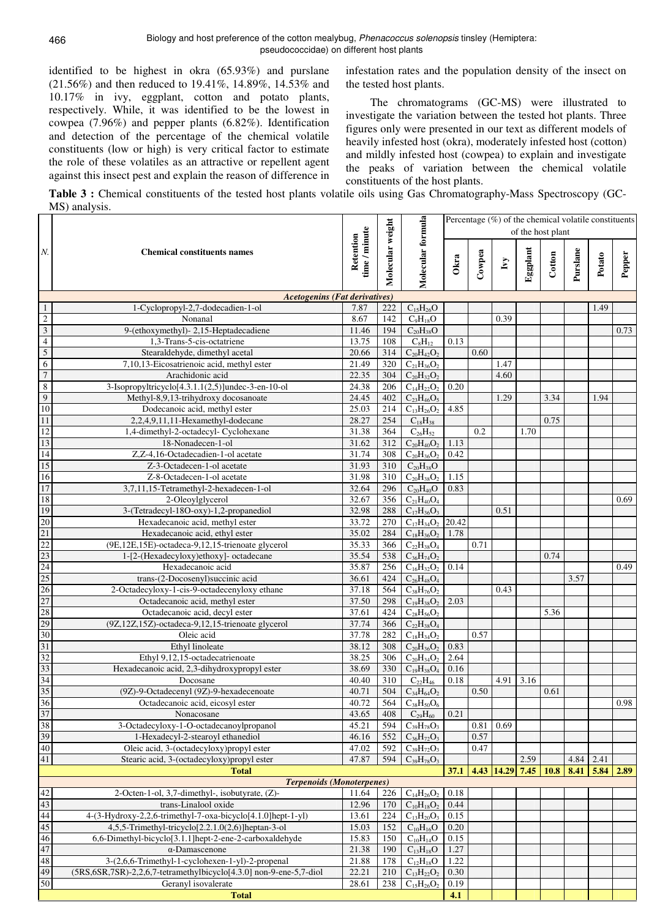identified to be highest in okra (65.93%) and purslane (21.56%) and then reduced to 19.41%, 14.89%, 14.53% and 10.17% in ivy, eggplant, cotton and potato plants, respectively. While, it was identified to be the lowest in cowpea (7.96%) and pepper plants (6.82%). Identification and detection of the percentage of the chemical volatile constituents (low or high) is very critical factor to estimate the role of these volatiles as an attractive or repellent agent against this insect pest and explain the reason of difference in

infestation rates and the population density of the insect on the tested host plants.

The chromatograms (GC-MS) were illustrated to investigate the variation between the tested hot plants. Three figures only were presented in our text as different models of heavily infested host (okra), moderately infested host (cotton) and mildly infested host (cowpea) to explain and investigate the peaks of variation between the chemical volatile constituents of the host plants.

**Table 3 :** Chemical constituents of the tested host plants volatile oils using Gas Chromatography-Mass Spectroscopy (GC-MS) analysis.

|                                 |                                                                          | time / minute  |                  |                                        | Percentage $(\%)$ of the chemical volatile constituents<br>of the host plant |        |                                    |          |        |          |        |        |  |
|---------------------------------|--------------------------------------------------------------------------|----------------|------------------|----------------------------------------|------------------------------------------------------------------------------|--------|------------------------------------|----------|--------|----------|--------|--------|--|
|                                 | Retention<br><b>Chemical constituents names</b>                          |                |                  |                                        |                                                                              |        |                                    |          |        |          |        |        |  |
| $N$ .                           |                                                                          |                | Molecular weight | Molecular formula                      | Okra                                                                         | Cowpea | $\mathbf{I} \mathbf{v} \mathbf{y}$ | Eggplant | Cotton | Purslane | Potato | Pepper |  |
|                                 | <b>Acetogenins (Fat derivatives)</b>                                     |                |                  |                                        |                                                                              |        |                                    |          |        |          |        |        |  |
| $\mathbf{1}$                    | 1-Cyclopropyl-2,7-dodecadien-1-ol                                        | 7.87           | 222              | $C_{15}H_{26}O$                        |                                                                              |        |                                    |          |        |          | 1.49   |        |  |
| $\overline{c}$                  | Nonanal                                                                  | 8.67           | 142              | $C_9H_{18}O$                           |                                                                              |        | 0.39                               |          |        |          |        |        |  |
| $\overline{\mathbf{3}}$         | 9-(ethoxymethyl)-2,15-Heptadecadiene                                     | 11.46          | 194              | $C_{20}H_{38}O$                        |                                                                              |        |                                    |          |        |          |        | 0.73   |  |
| $\overline{4}$                  | 1,3-Trans-5-cis-octatriene                                               | 13.75          | 108              | $C_8H_{12}$                            | 0.13                                                                         |        |                                    |          |        |          |        |        |  |
| $\overline{5}$                  | Stearaldehyde, dimethyl acetal                                           | 20.66          | 314              | $C_{20}H_{42}O_2$                      |                                                                              | 0.60   |                                    |          |        |          |        |        |  |
| 6                               | 7,10,13-Eicosatrienoic acid, methyl ester                                | 21.49          | 320              | $C_{21}H_{36}O_2$                      |                                                                              |        | 1.47                               |          |        |          |        |        |  |
| $\overline{7}$                  | Arachidonic acid                                                         | 22.35          | 304              | $C_{20}H_{32}O_2$                      |                                                                              |        | 4.60                               |          |        |          |        |        |  |
| $\,$ 8 $\,$                     | 3-Isopropyltricyclo[4.3.1.1(2,5)]undec-3-en-10-ol                        | 24.38          | 206              | $C_{14}H_{22}O_2$                      | 0.20                                                                         |        |                                    |          |        |          |        |        |  |
| $\overline{9}$                  | Methyl-8,9,13-trihydroxy docosanoate                                     | 24.45          | 402              | $C_{23}H_{46}O_5$                      |                                                                              |        | 1.29                               |          | 3.34   |          | 1.94   |        |  |
| $\overline{10}$                 | Dodecanoic acid, methyl ester                                            | 25.03          | 214              | $C_{13}H_{26}O_2$                      | 4.85                                                                         |        |                                    |          |        |          |        |        |  |
| 11                              | 2,2,4,9,11,11-Hexamethyl-dodecane                                        | 28.27          | 254              | $C_{18}H_{38}$                         |                                                                              |        |                                    |          | 0.75   |          |        |        |  |
| 12                              | 1,4-dimethyl-2-octadecyl- Cyclohexane                                    | 31.38          | 364              | $C_{26}H_{52}$                         |                                                                              | 0.2    |                                    | 1.70     |        |          |        |        |  |
| 13                              | 18-Nonadecen-1-ol                                                        | 31.62          | 312              | $C_{20}H_{40}O_2$                      | 1.13                                                                         |        |                                    |          |        |          |        |        |  |
| $\overline{14}$                 | Z.Z-4.16-Octadecadien-1-ol acetate                                       | 31.74          | 308              | $C_{20}H_{36}O_2$                      | 0.42                                                                         |        |                                    |          |        |          |        |        |  |
| 15                              | Z-3-Octadecen-1-ol acetate                                               | 31.93          | 310              | $C_{20}H_{38}O$                        |                                                                              |        |                                    |          |        |          |        |        |  |
| 16                              | Z-8-Octadecen-1-ol acetate                                               | 31.98          | 310              | $C_{20}H_{38}O_2$                      | 1.15                                                                         |        |                                    |          |        |          |        |        |  |
| 17                              | 3,7,11,15-Tetramethyl-2-hexadecen-1-ol                                   | 32.64          | 296              | $C_{20}H_{40}O$                        | 0.83                                                                         |        |                                    |          |        |          |        |        |  |
| 18<br>19                        | 2-Oleoylglycerol<br>3-(Tetradecyl-18O-oxy)-1,2-propanediol               | 32.67          | 356              | $C_{21}H_{40}O_4$                      |                                                                              |        |                                    |          |        |          |        | 0.69   |  |
| 20                              |                                                                          | 32.98          | 288              | $C_{17}H_{36}O_3$                      |                                                                              |        | 0.51                               |          |        |          |        |        |  |
| 21                              | Hexadecanoic acid, methyl ester<br>Hexadecanoic acid, ethyl ester        | 33.72<br>35.02 | 270<br>284       | $C_{17}H_{34}O_2$<br>$C_{18}H_{36}O_2$ | 20.42<br>1.78                                                                |        |                                    |          |        |          |        |        |  |
| 22                              | (9E,12E,15E)-octadeca-9,12,15-trienoate glycerol                         | 35.33          | 366              | $C_{22}H_{38}O_4$                      |                                                                              | 0.71   |                                    |          |        |          |        |        |  |
| 23                              | 1-[2-(Hexadecyloxy)ethoxy]- octadecane                                   | 35.54          | 538              | $C_{36}H_{74}O_2$                      |                                                                              |        |                                    |          | 0.74   |          |        |        |  |
|                                 | Hexadecanoic acid                                                        | 35.87          | 256              | $C_{16}H_{32}O_2$                      | 0.14                                                                         |        |                                    |          |        |          |        | 0.49   |  |
|                                 | trans-(2-Docosenyl) succinic acid                                        | 36.61          | 424              | $C_{26}H_{48}O_4$                      |                                                                              |        |                                    |          |        | 3.57     |        |        |  |
| $\frac{24}{25}$                 | 2-Octadecyloxy-1-cis-9-octadecenyloxy ethane                             | 37.18          | 564              | $C_{38}H_{76}O_2$                      |                                                                              |        | 0.43                               |          |        |          |        |        |  |
|                                 | Octadecanoic acid, methyl ester                                          | 37.50          | 298              | $C_{19}H_{38}O_2$                      | 2.03                                                                         |        |                                    |          |        |          |        |        |  |
| $\frac{27}{28}$                 | Octadecanoic acid, decyl ester                                           | 37.61          | 424              | $C_{28}H_{56}O_2$                      |                                                                              |        |                                    |          | 5.36   |          |        |        |  |
| 29                              | (9Z,12Z,15Z)-octadeca-9,12,15-trienoate glycerol                         | 37.74          | 366              | $C_{22}H_{38}O_4$                      |                                                                              |        |                                    |          |        |          |        |        |  |
| 30                              | Oleic acid                                                               | 37.78          | 282              | $C_{18}H_{34}O_2$                      |                                                                              | 0.57   |                                    |          |        |          |        |        |  |
| 31                              | Ethyl linoleate                                                          | 38.12          | 308              | $C_{20}H_{36}O_2$                      | 0.83                                                                         |        |                                    |          |        |          |        |        |  |
| 32                              | Ethyl 9,12,15-octadecatrienoate                                          | 38.25          | 306              | $C_{20}H_{34}O_2$                      | 2.64                                                                         |        |                                    |          |        |          |        |        |  |
| 33                              | Hexadecanoic acid, 2,3-dihydroxypropyl ester                             | 38.69          | 330              | $C_{19}H_{38}O_4$                      | 0.16                                                                         |        |                                    |          |        |          |        |        |  |
|                                 | Docosane                                                                 | 40.40          | 310              | $C_{22}H_{46}$                         | 0.18                                                                         |        | 4.91                               | 3.16     |        |          |        |        |  |
| $\frac{34}{35}$ $\frac{36}{37}$ | (9Z)-9-Octadecenyl (9Z)-9-hexadecenoate                                  | 40.71          | 504              | $C_{34}H_{64}O_2$                      |                                                                              | 0.50   |                                    |          | 0.61   |          |        |        |  |
|                                 | Octadecanoic acid, eicosyl ester                                         | 40.72          | 564              | $C_{38}H_{50}O_6$                      |                                                                              |        |                                    |          |        |          |        | 0.98   |  |
|                                 | Nonacosane                                                               | 43.65          | 408              | $C_{29}H_{60}$                         | 0.21                                                                         |        |                                    |          |        |          |        |        |  |
| 38                              | 3-Octadecyloxy-1-O-octadecanoylpropanol                                  | 45.21          | 594              | $C_{39}H_{78}O_3$                      |                                                                              | 0.81   | 0.69                               |          |        |          |        |        |  |
| 39                              | 1-Hexadecyl-2-stearoyl ethanediol                                        | 46.16          | 552              | $C_{36}H_{72}O_3$                      |                                                                              | 0.57   |                                    |          |        |          |        |        |  |
| 40                              | Oleic acid, 3-(octadecyloxy)propyl ester                                 | 47.02          | 592              | $C_{39}H_{72}O_3$                      |                                                                              | 0.47   |                                    |          |        |          |        |        |  |
| 41                              | Stearic acid, 3-(octadecyloxy)propyl ester                               | 47.87          | 594              | $C_{39}H_{78}O_3$                      |                                                                              |        |                                    | 2.59     |        | 4.84     | 2.41   |        |  |
|                                 | <b>Total</b>                                                             |                |                  |                                        | 37.1                                                                         |        | 4.43 14.29                         | 7.45     | 10.8   | 8.41     | 5.84   | 2.89   |  |
|                                 | <b>Terpenoids (Monoterpenes)</b>                                         |                |                  |                                        |                                                                              |        |                                    |          |        |          |        |        |  |
| 42<br>43                        | 2-Octen-1-ol, 3,7-dimethyl-, isobutyrate, (Z)-<br>trans-Linalool oxide   | 11.64          | 226              | $C_{14}H_{26}O_2$                      | 0.18                                                                         |        |                                    |          |        |          |        |        |  |
| 44                              | 4-(3-Hydroxy-2,2,6-trimethyl-7-oxa-bicyclo[4.1.0]hept-1-yl)              | 12.96<br>13.61 | 170<br>224       | $C_{10}H_{18}O_2$                      | 0.44<br>0.15                                                                 |        |                                    |          |        |          |        |        |  |
| 45                              | 4,5,5-Trimethyl-tricyclo[2.2.1.0(2,6)]heptan-3-ol                        | 15.03          | 152              | $C_{13}H_{20}O_3$<br>$C_{10}H_{16}O$   | 0.20                                                                         |        |                                    |          |        |          |        |        |  |
| 46                              | 6,6-Dimethyl-bicyclo[3.1.1]hept-2-ene-2-carboxaldehyde                   | 15.83          | 150              | $C_{10}H_{14}O$                        | 0.15                                                                         |        |                                    |          |        |          |        |        |  |
| 47                              | $\alpha$ -Damascenone                                                    | 21.38          | 190              | $C_{13}H_{18}O$                        | 1.27                                                                         |        |                                    |          |        |          |        |        |  |
| 48                              | 3-(2,6,6-Trimethyl-1-cyclohexen-1-yl)-2-propenal                         | 21.88          | 178              | $\rm C_{12}H_{18}O$                    | 1.22                                                                         |        |                                    |          |        |          |        |        |  |
| 49                              | (5RS, 6SR, 7SR)-2, 2, 6, 7-tetramethylbicyclo[4.3.0] non-9-ene-5, 7-diol | 22.21          | 210              | $C_{13}H_{22}O_2$                      | 0.30                                                                         |        |                                    |          |        |          |        |        |  |
| 50                              | Geranyl isovalerate                                                      | 28.61          | 238              | $C_{15}H_{26}O_2$                      | 0.19                                                                         |        |                                    |          |        |          |        |        |  |
|                                 | <b>Total</b>                                                             |                |                  |                                        | 4.1                                                                          |        |                                    |          |        |          |        |        |  |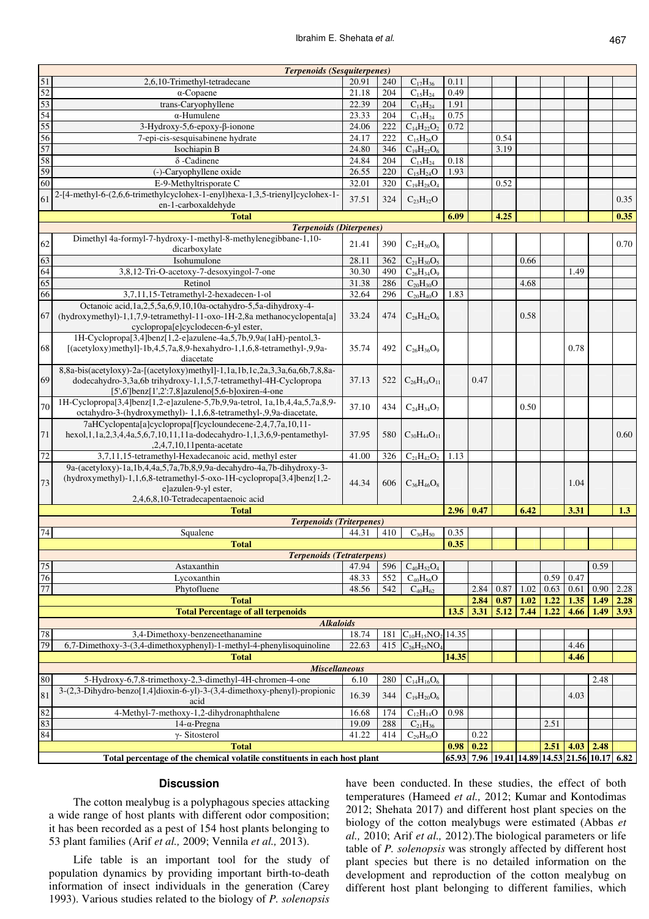|                                                                                                    | <b>Terpenoids (Sesquiterpenes)</b>                                                                                              |                |            |                            |       |                |      |                                               |              |              |      |      |
|----------------------------------------------------------------------------------------------------|---------------------------------------------------------------------------------------------------------------------------------|----------------|------------|----------------------------|-------|----------------|------|-----------------------------------------------|--------------|--------------|------|------|
| 51                                                                                                 | 2,6,10-Trimethyl-tetradecane                                                                                                    | 20.91          | 240        | $C_{17}H_{36}$             | 0.11  |                |      |                                               |              |              |      |      |
| $\overline{52}$                                                                                    | $\alpha$ -Copaene                                                                                                               | 21.18          | 204        | $C_{15}H_{24}$             | 0.49  |                |      |                                               |              |              |      |      |
| 53                                                                                                 | trans-Caryophyllene                                                                                                             | 22.39          | 204        | $C_{15}H_{24}$             | 1.91  |                |      |                                               |              |              |      |      |
| 54                                                                                                 | $\alpha$ -Humulene                                                                                                              | 23.33          | 204        | $C_{15}H_{24}$             | 0.75  |                |      |                                               |              |              |      |      |
| 55                                                                                                 | $3-Hydroxy-5,6-epoxy-\beta-ionone$                                                                                              | 24.06          | 222        | $C_{14}H_{22}O_2$          | 0.72  |                |      |                                               |              |              |      |      |
| 56                                                                                                 | 7-epi-cis-sesquisabinene hydrate                                                                                                | 24.17          | 222        | $C_{15}H_{26}O$            |       |                | 0.54 |                                               |              |              |      |      |
| 57                                                                                                 | Isochiapin B                                                                                                                    | 24.80          | 346        | $C_{19}H_{22}O_6$          |       |                | 3.19 |                                               |              |              |      |      |
| 58                                                                                                 | $\delta$ -Cadinene                                                                                                              | 24.84          | 204        | $C_{15}H_{24}$             | 0.18  |                |      |                                               |              |              |      |      |
| 59                                                                                                 | (-)-Caryophyllene oxide                                                                                                         | 26.55          | 220        | $C_{15}H_{24}O$            | 1.93  |                |      |                                               |              |              |      |      |
| 60                                                                                                 | E-9-Methyltrisporate C                                                                                                          | 32.01          | 320        | $C_{19}H_{28}O_4$          |       |                | 0.52 |                                               |              |              |      |      |
|                                                                                                    | 2-[4-methyl-6-(2,6,6-trimethylcyclohex-1-enyl)hexa-1,3,5-trienyl]cyclohex-1-                                                    |                |            |                            |       |                |      |                                               |              |              |      |      |
| 61                                                                                                 | en-1-carboxaldehyde                                                                                                             | 37.51          | 324        | $C_{23}H_{32}O$            |       |                |      |                                               |              |              |      | 0.35 |
|                                                                                                    | <b>Total</b>                                                                                                                    |                |            |                            | 6.09  |                | 4.25 |                                               |              |              |      | 0.35 |
|                                                                                                    | <b>Terpenoids (Diterpenes)</b>                                                                                                  |                |            |                            |       |                |      |                                               |              |              |      |      |
| 62                                                                                                 | Dimethyl 4a-formyl-7-hydroxy-1-methyl-8-methylenegibbane-1,10-                                                                  | 21.41          | 390        | $C_{22}H_{30}O_6$          |       |                |      |                                               |              |              |      | 0.70 |
|                                                                                                    | dicarboxylate                                                                                                                   |                |            |                            |       |                |      |                                               |              |              |      |      |
| 63                                                                                                 | Isohumulone                                                                                                                     | 28.11          | 362        | $C_{21}H_{30}O_5$          |       |                |      | 0.66                                          |              |              |      |      |
| 64                                                                                                 | 3,8,12-Tri-O-acetoxy-7-desoxyingol-7-one                                                                                        | 30.30          | 490        | $C_{26}H_{34}O_9$          |       |                |      |                                               |              | 1.49         |      |      |
| 65                                                                                                 | Retinol                                                                                                                         | 31.38          | 286        | $C_{20}H_{30}O$            |       |                |      | 4.68                                          |              |              |      |      |
| 66                                                                                                 | 3,7,11,15-Tetramethyl-2-hexadecen-1-ol                                                                                          | 32.64          | 296        | $C_{20}H_{40}O$            | 1.83  |                |      |                                               |              |              |      |      |
|                                                                                                    | Octanoic acid, 1a, 2, 5, 5a, 6, 9, 10, 10a - octanydro - 5, 5a - dihydroxy - 4-                                                 |                |            |                            |       |                |      |                                               |              |              |      |      |
| 67                                                                                                 | (hydroxymethyl)-1,1,7,9-tetramethyl-11-oxo-1H-2,8a methanocyclopenta[a]                                                         | 33.24          | 474        | $C_{28}H_{42}O_6$          |       |                |      | 0.58                                          |              |              |      |      |
|                                                                                                    | cyclopropa[e]cyclodecen-6-yl ester,                                                                                             |                |            |                            |       |                |      |                                               |              |              |      |      |
|                                                                                                    | 1H-Cyclopropa[3,4]benz[1,2-e]azulene-4a,5,7b,9,9a(1aH)-pentol,3-                                                                |                |            |                            |       |                |      |                                               |              |              |      |      |
| 68                                                                                                 | [(acetyloxy)methyl]-1b,4,5,7a,8,9-hexahydro-1,1,6,8-tetramethyl-,9,9a-                                                          | 35.74          | 492        | $C_{26}H_{36}O_9$          |       |                |      |                                               |              | 0.78         |      |      |
|                                                                                                    | diacetate                                                                                                                       |                |            |                            |       |                |      |                                               |              |              |      |      |
|                                                                                                    | 8,8a-bis(acetyloxy)-2a-[(acetyloxy)methyl]-1,1a,1b,1c,2a,3,3a,6a,6b,7,8,8a-                                                     |                |            |                            |       |                |      |                                               |              |              |      |      |
| 69                                                                                                 | dodecahydro-3,3a,6b trihydroxy-1,1,5,7-tetramethyl-4H-Cyclopropa                                                                | 37.13          | 522        | $C_{26}H_{34}O_{11}$       |       | 0.47           |      |                                               |              |              |      |      |
|                                                                                                    | [5',6']benz[1',2':7,8]azuleno[5,6-b]oxiren-4-one<br>1H-Cyclopropa[3,4]benz[1,2-e]azulene-5,7b,9,9a-tetrol, 1a,1b,4,4a,5,7a,8,9- |                |            |                            |       |                |      |                                               |              |              |      |      |
| 70                                                                                                 | octahydro-3-(hydroxymethyl)- 1,1,6,8-tetramethyl-,9,9a-diacetate,                                                               | 37.10          | 434        | $C_{24}H_{34}O_7$          |       |                |      | 0.50                                          |              |              |      |      |
|                                                                                                    | 7aHCyclopenta[a]cyclopropa[f]cycloundecene-2,4,7,7a,10,11-                                                                      |                |            |                            |       |                |      |                                               |              |              |      |      |
| 71                                                                                                 | hexol, 1, 1a, 2, 3, 4, 4a, 5, 6, 7, 10, 11, 11a-dodecahydro-1, 1, 3, 6, 9-pentamethyl-                                          | 37.95          | 580        | $C_{30}H_{44}O_{11}$       |       |                |      |                                               |              |              |      | 0.60 |
|                                                                                                    | ,2,4,7,10,11penta-acetate                                                                                                       |                |            |                            |       |                |      |                                               |              |              |      |      |
| 72                                                                                                 | 3,7,11,15-tetramethyl-Hexadecanoic acid, methyl ester                                                                           | 41.00          | 326        | $C_{21}H_{42}O_2$          | 1.13  |                |      |                                               |              |              |      |      |
|                                                                                                    | 9a-(acetyloxy)-1a,1b,4,4a,5,7a,7b,8,9,9a-decahydro-4a,7b-dihydroxy-3-                                                           |                |            |                            |       |                |      |                                               |              |              |      |      |
|                                                                                                    | (hydroxymethyl)-1,1,6,8-tetramethyl-5-oxo-1H-cyclopropa[3,4]benz[1,2-                                                           |                |            |                            |       |                |      |                                               |              |              |      |      |
| 73                                                                                                 | elazulen-9-yl ester,                                                                                                            | 44.34          | 606        | $C_{36}H_{46}O_8$          |       |                |      |                                               |              | 1.04         |      |      |
|                                                                                                    | 2,4,6,8,10-Tetradecapentaenoic acid                                                                                             |                |            |                            |       |                |      |                                               |              |              |      |      |
|                                                                                                    | <b>Total</b>                                                                                                                    |                | 2.96       | 0.47                       |       | 6.42           |      | 3.31                                          |              | 1.3          |      |      |
|                                                                                                    | <b>Terpenoids (Triterpenes)</b>                                                                                                 |                |            |                            |       |                |      |                                               |              |              |      |      |
| $74\,$                                                                                             | Squalene                                                                                                                        | 44.31          | 410        | $C_{30}H_{50}$             | 0.35  |                |      |                                               |              |              |      |      |
|                                                                                                    | <b>Total</b>                                                                                                                    |                |            |                            | 0.35  |                |      |                                               |              |              |      |      |
|                                                                                                    | <b>Terpenoids (Tetraterpens)</b>                                                                                                |                |            |                            |       |                |      |                                               |              |              |      |      |
| $75\,$                                                                                             | Astaxanthin                                                                                                                     | 47.94          | 596        | $C_{40}H_{52}O_4$          |       |                |      |                                               |              |              | 0.59 |      |
| 76<br>77                                                                                           | Lycoxanthin<br>Phytofluene                                                                                                      | 48.33<br>48.56 | 552<br>542 | $C_{40}H_{56}O$            |       | 2.84           | 0.87 | 1.02                                          | 0.59<br>0.63 | 0.47<br>0.61 | 0.90 |      |
|                                                                                                    |                                                                                                                                 |                |            | $C_{40}H_{62}$             |       |                |      |                                               |              |              |      | 2.28 |
|                                                                                                    | <b>Total</b>                                                                                                                    |                |            |                            |       | 2.84           | 0.87 | 1.02                                          | 1.22         | 1.35         | 1.49 | 2.28 |
|                                                                                                    | <b>Total Percentage of all terpenoids</b><br><b>Alkaloids</b>                                                                   |                |            |                            | 13.5  | 3.31           | 5.12 | 7.44                                          | 1.22         | 4.66         | 1.49 | 3.93 |
| 78                                                                                                 | 3,4-Dimethoxy-benzeneethanamine                                                                                                 | 18.74          | 181        | $C_{10}H_{15}NO_2$ 14.35   |       |                |      |                                               |              |              |      |      |
| 79                                                                                                 | 6,7-Dimethoxy-3-(3,4-dimethoxyphenyl)-1-methyl-4-phenylisoquinoline                                                             | 22.63          | 415        | $C_{26}H_{25}NO_4$         |       |                |      |                                               |              | 4.46         |      |      |
|                                                                                                    | <b>Total</b>                                                                                                                    |                |            |                            | 14.35 |                |      |                                               |              | 4.46         |      |      |
|                                                                                                    | <b>Miscellaneous</b>                                                                                                            |                |            |                            |       |                |      |                                               |              |              |      |      |
| 80<br>5-Hydroxy-6,7,8-trimethoxy-2,3-dimethyl-4H-chromen-4-one<br>280<br>6.10<br>$C_{14}H_{16}O_6$ |                                                                                                                                 |                |            |                            |       |                |      |                                               |              |              | 2.48 |      |
|                                                                                                    | 3-(2,3-Dihydro-benzo[1,4]dioxin-6-yl)-3-(3,4-dimethoxy-phenyl)-propionic                                                        |                |            |                            |       |                |      |                                               |              |              |      |      |
| 81                                                                                                 | acid                                                                                                                            | 16.39          | 344        | $C_{19}H_{20}O_6$          |       |                |      |                                               |              | 4.03         |      |      |
| 82                                                                                                 | 4-Methyl-7-methoxy-1,2-dihydronaphthalene                                                                                       | 16.68          | 174        | $C_{12}H_{14}O$            | 0.98  |                |      |                                               |              |              |      |      |
| 83                                                                                                 | $14$ - $\alpha$ -Pregna                                                                                                         | 19.09          | 288        | $C_{21}H_{36}$             |       |                |      |                                               | 2.51         |              |      |      |
| 84                                                                                                 | $\gamma$ - Sitosterol                                                                                                           | 41.22          | 414        | $\overline{C}_{29}H_{50}O$ |       | 0.22           |      |                                               |              |              |      |      |
|                                                                                                    | <b>Total</b>                                                                                                                    |                |            |                            | 0.98  | $\boxed{0.22}$ |      |                                               | 2.51         | $4.03$ 2.48  |      |      |
|                                                                                                    | Total percentage of the chemical volatile constituents in each host plant                                                       |                |            |                            |       |                |      | 65.93 7.96 19.41 14.89 14.53 21.56 10.17 6.82 |              |              |      |      |
|                                                                                                    |                                                                                                                                 |                |            |                            |       |                |      |                                               |              |              |      |      |

## **Discussion**

The cotton mealybug is a polyphagous species attacking a wide range of host plants with different odor composition; it has been recorded as a pest of 154 host plants belonging to 53 plant families (Arif *et al.,* 2009; Vennila *et al.,* 2013).

Life table is an important tool for the study of population dynamics by providing important birth-to-death information of insect individuals in the generation (Carey 1993). Various studies related to the biology of *P. solenopsis*

have been conducted. In these studies, the effect of both temperatures (Hameed *et al.,* 2012; Kumar and Kontodimas 2012; Shehata 2017) and different host plant species on the biology of the cotton mealybugs were estimated (Abbas *et al.,* 2010; Arif *et al.,* 2012).The biological parameters or life table of *P. solenopsis* was strongly affected by different host plant species but there is no detailed information on the development and reproduction of the cotton mealybug on different host plant belonging to different families, which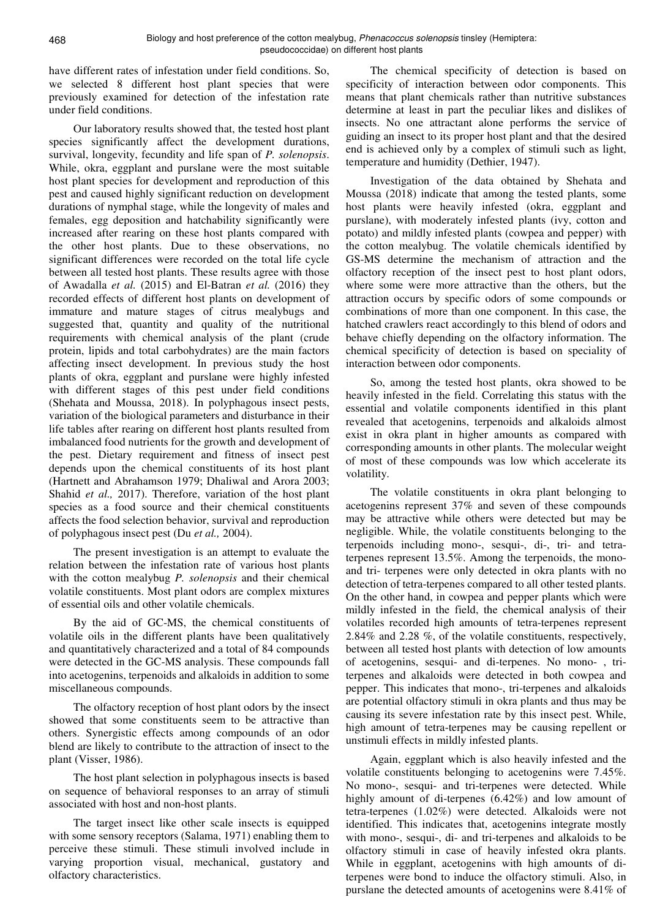have different rates of infestation under field conditions. So, we selected 8 different host plant species that were previously examined for detection of the infestation rate under field conditions.

Our laboratory results showed that, the tested host plant species significantly affect the development durations, survival, longevity, fecundity and life span of *P. solenopsis*. While, okra, eggplant and purslane were the most suitable host plant species for development and reproduction of this pest and caused highly significant reduction on development durations of nymphal stage, while the longevity of males and females, egg deposition and hatchability significantly were increased after rearing on these host plants compared with the other host plants. Due to these observations, no significant differences were recorded on the total life cycle between all tested host plants. These results agree with those of Awadalla *et al.* (2015) and El-Batran *et al.* (2016) they recorded effects of different host plants on development of immature and mature stages of citrus mealybugs and suggested that, quantity and quality of the nutritional requirements with chemical analysis of the plant (crude protein, lipids and total carbohydrates) are the main factors affecting insect development. In previous study the host plants of okra, eggplant and purslane were highly infested with different stages of this pest under field conditions (Shehata and Moussa, 2018). In polyphagous insect pests, variation of the biological parameters and disturbance in their life tables after rearing on different host plants resulted from imbalanced food nutrients for the growth and development of the pest. Dietary requirement and fitness of insect pest depends upon the chemical constituents of its host plant (Hartnett and Abrahamson 1979; Dhaliwal and Arora 2003; Shahid *et al.,* 2017). Therefore, variation of the host plant species as a food source and their chemical constituents affects the food selection behavior, survival and reproduction of polyphagous insect pest (Du *et al.,* 2004).

The present investigation is an attempt to evaluate the relation between the infestation rate of various host plants with the cotton mealybug *P. solenopsis* and their chemical volatile constituents. Most plant odors are complex mixtures of essential oils and other volatile chemicals.

By the aid of GC-MS, the chemical constituents of volatile oils in the different plants have been qualitatively and quantitatively characterized and a total of 84 compounds were detected in the GC-MS analysis. These compounds fall into acetogenins, terpenoids and alkaloids in addition to some miscellaneous compounds.

The olfactory reception of host plant odors by the insect showed that some constituents seem to be attractive than others. Synergistic effects among compounds of an odor blend are likely to contribute to the attraction of insect to the plant (Visser, 1986).

The host plant selection in polyphagous insects is based on sequence of behavioral responses to an array of stimuli associated with host and non-host plants.

The target insect like other scale insects is equipped with some sensory receptors (Salama, 1971) enabling them to perceive these stimuli. These stimuli involved include in varying proportion visual, mechanical, gustatory and olfactory characteristics.

The chemical specificity of detection is based on specificity of interaction between odor components. This means that plant chemicals rather than nutritive substances determine at least in part the peculiar likes and dislikes of insects. No one attractant alone performs the service of guiding an insect to its proper host plant and that the desired end is achieved only by a complex of stimuli such as light, temperature and humidity (Dethier, 1947).

Investigation of the data obtained by Shehata and Moussa (2018) indicate that among the tested plants, some host plants were heavily infested (okra, eggplant and purslane), with moderately infested plants (ivy, cotton and potato) and mildly infested plants (cowpea and pepper) with the cotton mealybug. The volatile chemicals identified by GS-MS determine the mechanism of attraction and the olfactory reception of the insect pest to host plant odors, where some were more attractive than the others, but the attraction occurs by specific odors of some compounds or combinations of more than one component. In this case, the hatched crawlers react accordingly to this blend of odors and behave chiefly depending on the olfactory information. The chemical specificity of detection is based on speciality of interaction between odor components.

So, among the tested host plants, okra showed to be heavily infested in the field. Correlating this status with the essential and volatile components identified in this plant revealed that acetogenins, terpenoids and alkaloids almost exist in okra plant in higher amounts as compared with corresponding amounts in other plants. The molecular weight of most of these compounds was low which accelerate its volatility.

The volatile constituents in okra plant belonging to acetogenins represent 37% and seven of these compounds may be attractive while others were detected but may be negligible. While, the volatile constituents belonging to the terpenoids including mono-, sesqui-, di-, tri- and tetraterpenes represent 13.5%. Among the terpenoids, the monoand tri- terpenes were only detected in okra plants with no detection of tetra-terpenes compared to all other tested plants. On the other hand, in cowpea and pepper plants which were mildly infested in the field, the chemical analysis of their volatiles recorded high amounts of tetra-terpenes represent 2.84% and 2.28 %, of the volatile constituents, respectively, between all tested host plants with detection of low amounts of acetogenins, sesqui- and di-terpenes. No mono- , triterpenes and alkaloids were detected in both cowpea and pepper. This indicates that mono-, tri-terpenes and alkaloids are potential olfactory stimuli in okra plants and thus may be causing its severe infestation rate by this insect pest. While, high amount of tetra-terpenes may be causing repellent or unstimuli effects in mildly infested plants.

Again, eggplant which is also heavily infested and the volatile constituents belonging to acetogenins were 7.45%. No mono-, sesqui- and tri-terpenes were detected. While highly amount of di-terpenes (6.42%) and low amount of tetra-terpenes (1.02%) were detected. Alkaloids were not identified. This indicates that, acetogenins integrate mostly with mono-, sesqui-, di- and tri-terpenes and alkaloids to be olfactory stimuli in case of heavily infested okra plants. While in eggplant, acetogenins with high amounts of diterpenes were bond to induce the olfactory stimuli. Also, in purslane the detected amounts of acetogenins were 8.41% of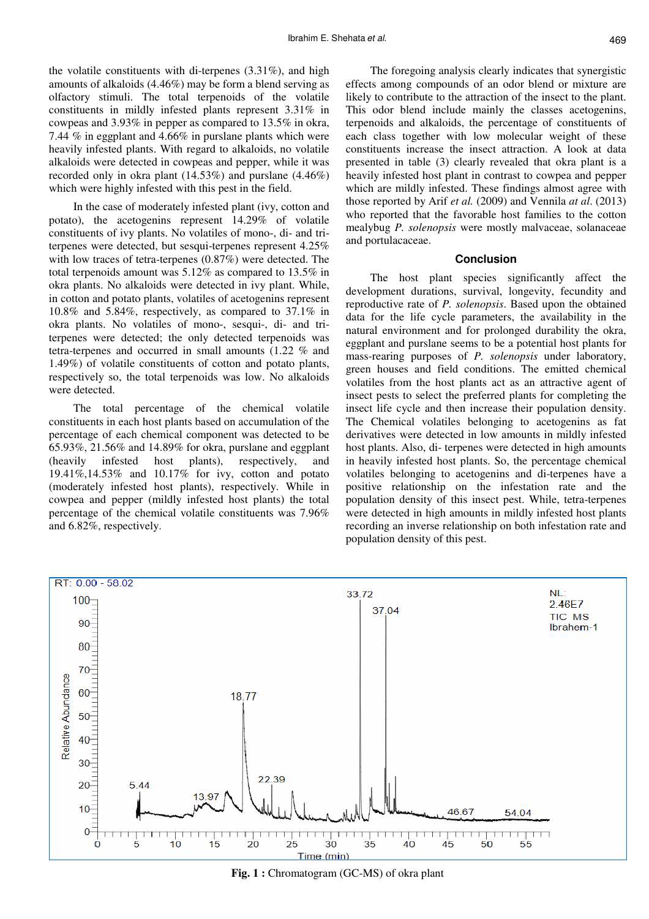the volatile constituents with di-terpenes (3.31%), and high amounts of alkaloids (4.46%) may be form a blend serving as olfactory stimuli. The total terpenoids of the volatile constituents in mildly infested plants represent 3.31% in cowpeas and 3.93% in pepper as compared to 13.5% in okra, 7.44 % in eggplant and 4.66% in purslane plants which were heavily infested plants. With regard to alkaloids, no volatile alkaloids were detected in cowpeas and pepper, while it was recorded only in okra plant (14.53%) and purslane (4.46%) which were highly infested with this pest in the field.

In the case of moderately infested plant (ivy, cotton and potato), the acetogenins represent 14.29% of volatile constituents of ivy plants. No volatiles of mono-, di- and triterpenes were detected, but sesqui-terpenes represent 4.25% with low traces of tetra-terpenes (0.87%) were detected. The total terpenoids amount was 5.12% as compared to 13.5% in okra plants. No alkaloids were detected in ivy plant. While, in cotton and potato plants, volatiles of acetogenins represent 10.8% and 5.84%, respectively, as compared to 37.1% in okra plants. No volatiles of mono-, sesqui-, di- and triterpenes were detected; the only detected terpenoids was tetra-terpenes and occurred in small amounts (1.22 % and 1.49%) of volatile constituents of cotton and potato plants, respectively so, the total terpenoids was low. No alkaloids were detected.

The total percentage of the chemical volatile constituents in each host plants based on accumulation of the percentage of each chemical component was detected to be 65.93%, 21.56% and 14.89% for okra, purslane and eggplant (heavily infested host plants), respectively, and 19.41%,14.53% and 10.17% for ivy, cotton and potato (moderately infested host plants), respectively. While in cowpea and pepper (mildly infested host plants) the total percentage of the chemical volatile constituents was 7.96% and 6.82%, respectively.

The foregoing analysis clearly indicates that synergistic effects among compounds of an odor blend or mixture are likely to contribute to the attraction of the insect to the plant. This odor blend include mainly the classes acetogenins, terpenoids and alkaloids, the percentage of constituents of each class together with low molecular weight of these constituents increase the insect attraction. A look at data presented in table (3) clearly revealed that okra plant is a heavily infested host plant in contrast to cowpea and pepper which are mildly infested. These findings almost agree with those reported by Arif *et al.* (2009) and Vennila *at al*. (2013) who reported that the favorable host families to the cotton mealybug *P. solenopsis* were mostly malvaceae, solanaceae and portulacaceae.

#### **Conclusion**

The host plant species significantly affect the development durations, survival, longevity, fecundity and reproductive rate of *P. solenopsis*. Based upon the obtained data for the life cycle parameters, the availability in the natural environment and for prolonged durability the okra, eggplant and purslane seems to be a potential host plants for mass-rearing purposes of *P. solenopsis* under laboratory, green houses and field conditions. The emitted chemical volatiles from the host plants act as an attractive agent of insect pests to select the preferred plants for completing the insect life cycle and then increase their population density. The Chemical volatiles belonging to acetogenins as fat derivatives were detected in low amounts in mildly infested host plants. Also, di- terpenes were detected in high amounts in heavily infested host plants. So, the percentage chemical volatiles belonging to acetogenins and di-terpenes have a positive relationship on the infestation rate and the population density of this insect pest. While, tetra-terpenes were detected in high amounts in mildly infested host plants recording an inverse relationship on both infestation rate and population density of this pest.



**Fig. 1 :** Chromatogram (GC-MS) of okra plant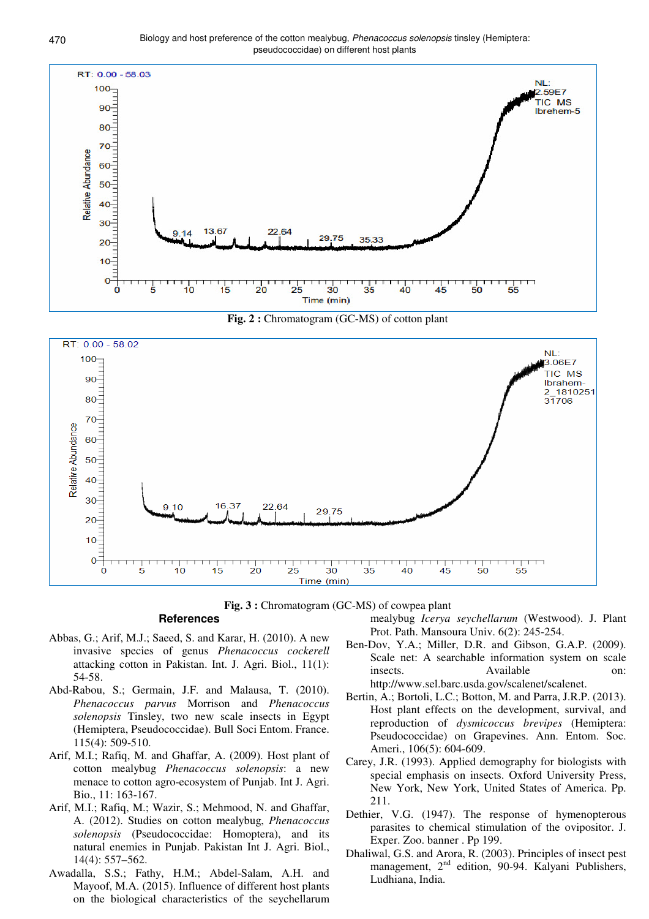

**Fig. 2 :** Chromatogram (GC-MS) of cotton plant



**Fig. 3 :** Chromatogram (GC-MS) of cowpea plant

### **References**

- Abbas, G.; Arif, M.J.; Saeed, S. and Karar, H. (2010). A new invasive species of genus *Phenacoccus cockerell*  attacking cotton in Pakistan. Int. J. Agri. Biol., 11(1): 54-58.
- Abd-Rabou, S.; Germain, J.F. and Malausa, T. (2010). *Phenacoccus parvus* Morrison and *Phenacoccus solenopsis* Tinsley, two new scale insects in Egypt (Hemiptera, Pseudococcidae). Bull Soci Entom. France. 115(4): 509-510.
- Arif, M.I.; Rafiq, M. and Ghaffar, A. (2009). Host plant of cotton mealybug *Phenacoccus solenopsis*: a new menace to cotton agro-ecosystem of Punjab. Int J. Agri. Bio., 11: 163-167.
- Arif, M.I.; Rafiq, M.; Wazir, S.; Mehmood, N. and Ghaffar, A. (2012). Studies on cotton mealybug, *Phenacoccus solenopsis* (Pseudococcidae: Homoptera), and its natural enemies in Punjab. Pakistan Int J. Agri. Biol., 14(4): 557–562.
- Awadalla, S.S.; Fathy, H.M.; Abdel-Salam, A.H. and Mayoof, M.A. (2015). Influence of different host plants on the biological characteristics of the seychellarum

mealybug *Icerya seychellarum* (Westwood). J. Plant Prot. Path. Mansoura Univ. 6(2): 245-254.

- Ben-Dov, Y.A.; Miller, D.R. and Gibson, G.A.P. (2009). Scale net: A searchable information system on scale insects. Available on: http://www.sel.barc.usda.gov/scalenet/scalenet.
- Bertin, A.; Bortoli, L.C.; Botton, M. and Parra, J.R.P. (2013). Host plant effects on the development, survival, and reproduction of *dysmicoccus brevipes* (Hemiptera: Pseudococcidae) on Grapevines. Ann. Entom. Soc. Ameri., 106(5): 604-609.
- Carey, J.R. (1993). Applied demography for biologists with special emphasis on insects. Oxford University Press, New York, New York, United States of America. Pp. 211.
- Dethier, V.G. (1947). The response of hymenopterous parasites to chemical stimulation of the ovipositor. J. Exper. Zoo. banner . Pp 199.
- Dhaliwal, G.S. and Arora, R. (2003). Principles of insect pest management, 2<sup>nd</sup> edition, 90-94. Kalyani Publishers, Ludhiana, India.